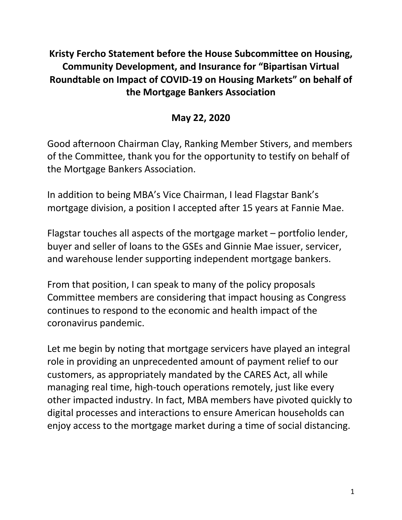**Kristy Fercho Statement before the House Subcommittee on Housing, Community Development, and Insurance for "Bipartisan Virtual Roundtable on Impact of COVID-19 on Housing Markets" on behalf of the Mortgage Bankers Association** 

#### **May 22, 2020**

Good afternoon Chairman Clay, Ranking Member Stivers, and members of the Committee, thank you for the opportunity to testify on behalf of the Mortgage Bankers Association.

In addition to being MBA's Vice Chairman, I lead Flagstar Bank's mortgage division, a position I accepted after 15 years at Fannie Mae.

Flagstar touches all aspects of the mortgage market – portfolio lender, buyer and seller of loans to the GSEs and Ginnie Mae issuer, servicer, and warehouse lender supporting independent mortgage bankers.

From that position, I can speak to many of the policy proposals Committee members are considering that impact housing as Congress continues to respond to the economic and health impact of the coronavirus pandemic.

Let me begin by noting that mortgage servicers have played an integral role in providing an unprecedented amount of payment relief to our customers, as appropriately mandated by the CARES Act, all while managing real time, high-touch operations remotely, just like every other impacted industry. In fact, MBA members have pivoted quickly to digital processes and interactions to ensure American households can enjoy access to the mortgage market during a time of social distancing.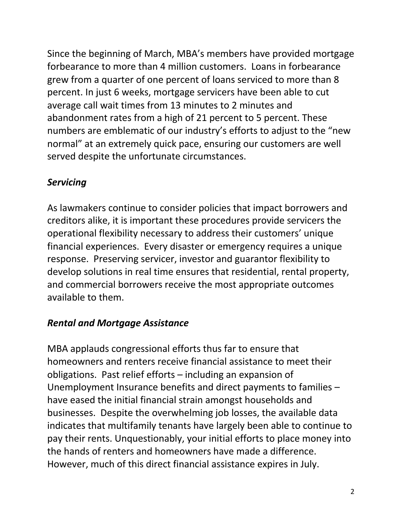Since the beginning of March, MBA's members have provided mortgage forbearance to more than 4 million customers. Loans in forbearance grew from a quarter of one percent of loans serviced to more than 8 percent. In just 6 weeks, mortgage servicers have been able to cut average call wait times from 13 minutes to 2 minutes and abandonment rates from a high of 21 percent to 5 percent. These numbers are emblematic of our industry's efforts to adjust to the "new normal" at an extremely quick pace, ensuring our customers are well served despite the unfortunate circumstances.

### *Servicing*

As lawmakers continue to consider policies that impact borrowers and creditors alike, it is important these procedures provide servicers the operational flexibility necessary to address their customers' unique financial experiences. Every disaster or emergency requires a unique response. Preserving servicer, investor and guarantor flexibility to develop solutions in real time ensures that residential, rental property, and commercial borrowers receive the most appropriate outcomes available to them.

# *Rental and Mortgage Assistance*

MBA applauds congressional efforts thus far to ensure that homeowners and renters receive financial assistance to meet their obligations. Past relief efforts – including an expansion of Unemployment Insurance benefits and direct payments to families – have eased the initial financial strain amongst households and businesses. Despite the overwhelming job losses, the available data indicates that multifamily tenants have largely been able to continue to pay their rents. Unquestionably, your initial efforts to place money into the hands of renters and homeowners have made a difference. However, much of this direct financial assistance expires in July.